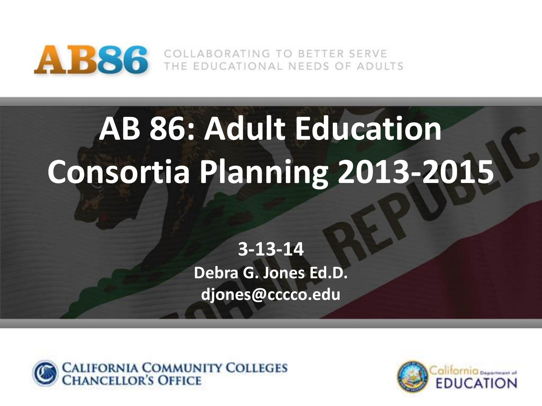

AB86 COLLABORATING TO BETTER SERVE

# **AB 86: Adult Education Consortia Planning 2013-2015**

**3-13-14 Debra G. Jones Ed.D. djones@cccco.edu**



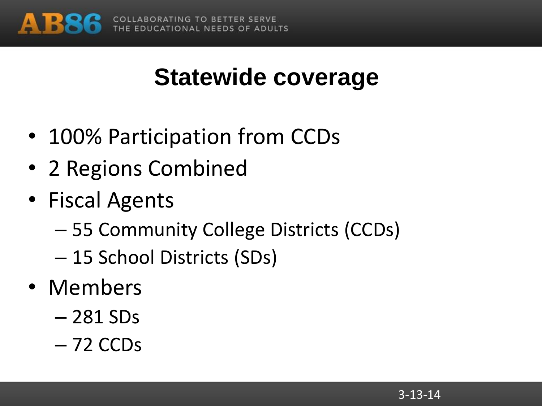

# **Statewide coverage**

- 100% Participation from CCDs
- 2 Regions Combined
- Fiscal Agents
	- 55 Community College Districts (CCDs)
	- 15 School Districts (SDs)
- Members
	- 281 SDs
	- 72 CCDs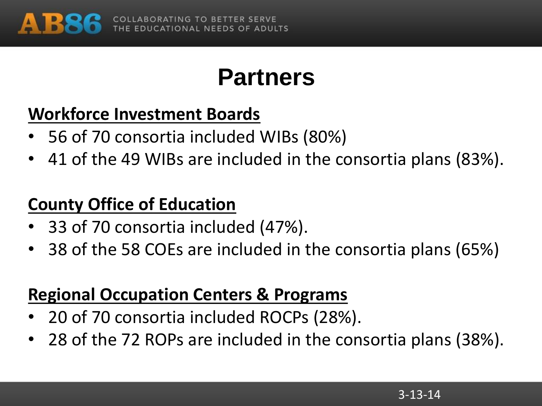

### **Partners**

#### **Workforce Investment Boards**

- 56 of 70 consortia included WIBs (80%)
- 41 of the 49 WIBs are included in the consortia plans (83%).

#### **County Office of Education**

- 33 of 70 consortia included (47%).
- 38 of the 58 COEs are included in the consortia plans (65%)

#### **Regional Occupation Centers & Programs**

- 20 of 70 consortia included ROCPs (28%).
- 28 of the 72 ROPs are included in the consortia plans (38%).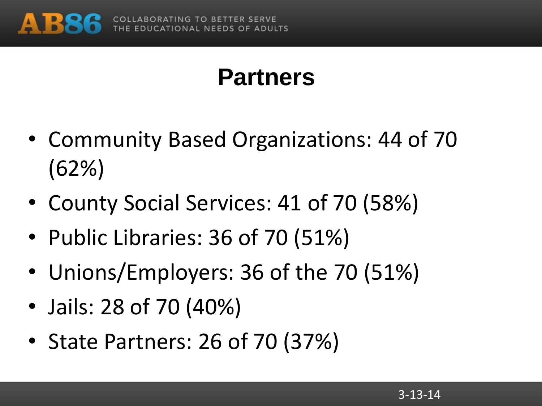

# **Partners**

- Community Based Organizations: 44 of 70 (62%)
- County Social Services: 41 of 70 (58%)
- Public Libraries: 36 of 70 (51%)
- Unions/Employers: 36 of the 70 (51%)
- Jails: 28 of 70 (40%)
- State Partners: 26 of 70 (37%)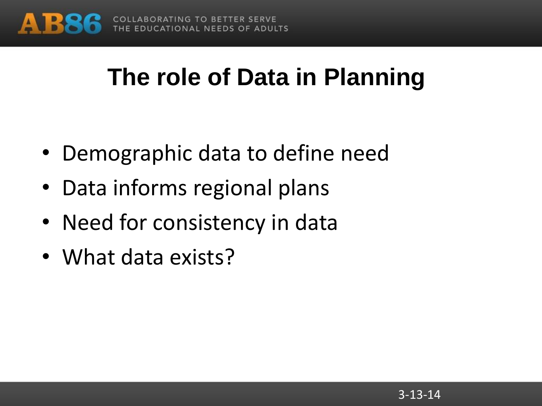

### **The role of Data in Planning**

- Demographic data to define need
- Data informs regional plans
- Need for consistency in data
- What data exists?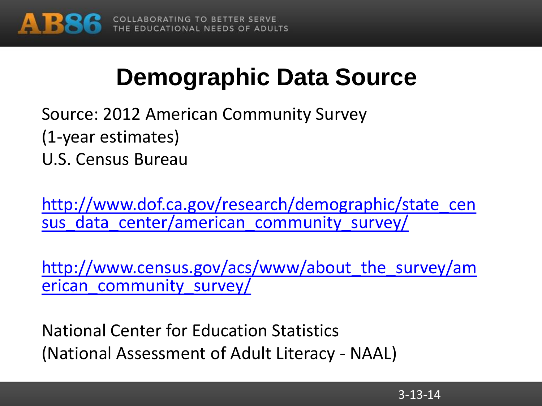

# **Demographic Data Source**

Source: 2012 American Community Survey (1-year estimates)

U.S. Census Bureau

[http://www.dof.ca.gov/research/demographic/state\\_cen](http://www.dof.ca.gov/research/demographic/state_census_data_center/american_community_survey/) sus data center/american community survey/

http://www.census.gov/acs/www/about the survey/am erican community survey/

National Center for Education Statistics (National Assessment of Adult Literacy - NAAL)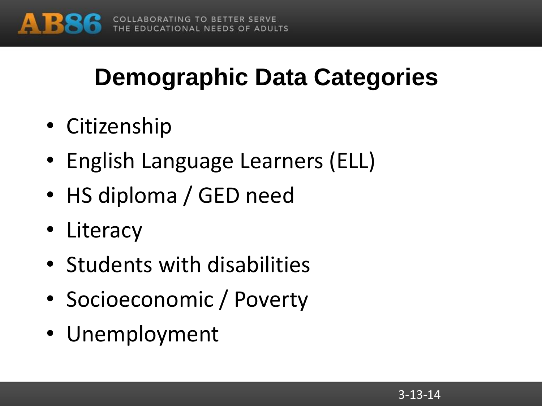

# **Demographic Data Categories**

- Citizenship
- English Language Learners (ELL)
- HS diploma / GED need
- Literacy
- Students with disabilities
- Socioeconomic / Poverty
- Unemployment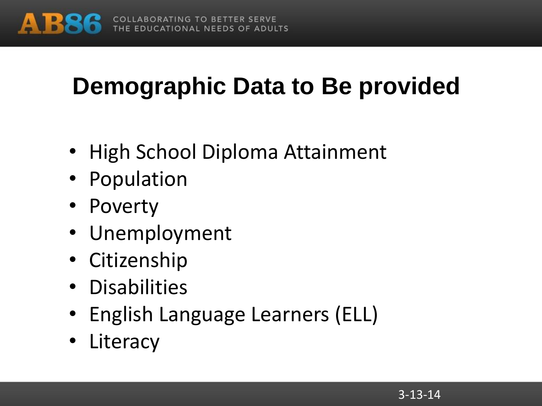

# **Demographic Data to Be provided**

- High School Diploma Attainment
- Population
- Poverty
- Unemployment
- Citizenship
- Disabilities
- English Language Learners (ELL)
- Literacy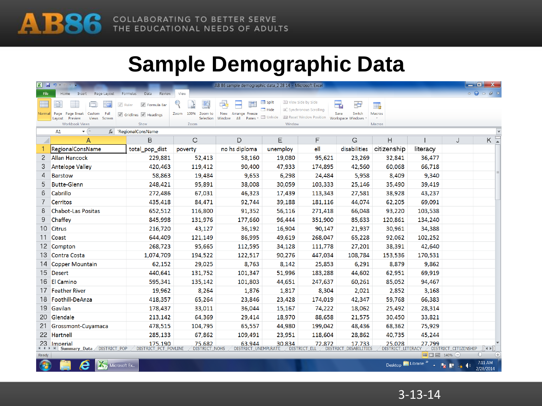

#### **Sample Demographic Data**

| $X$ $\rightarrow$ $\rightarrow$ | AB 86 sample demographic data 2 28 14 - Microsoft Excel                                       |                                                           |                                      |                                                                           |                                      |                                                                                 |                                                 |                                   |          |                      | $-$ 0 $x$                                                                                                                                                                                                                                                                                                                                                                                                                                                                             |
|---------------------------------|-----------------------------------------------------------------------------------------------|-----------------------------------------------------------|--------------------------------------|---------------------------------------------------------------------------|--------------------------------------|---------------------------------------------------------------------------------|-------------------------------------------------|-----------------------------------|----------|----------------------|---------------------------------------------------------------------------------------------------------------------------------------------------------------------------------------------------------------------------------------------------------------------------------------------------------------------------------------------------------------------------------------------------------------------------------------------------------------------------------------|
| <b>File</b>                     | Home<br>Insert<br>Page Layout                                                                 | Formulas<br>Data<br>Review                                | View                                 |                                                                           |                                      |                                                                                 |                                                 |                                   |          |                      | $\mathbf{A} \quad \mathbf{B} \quad \mathbf{C} \quad \mathbf{D} \quad \mathbf{D} \quad \mathbf{D} \quad \mathbf{D} \quad \mathbf{D} \quad \mathbf{D} \quad \mathbf{D} \quad \mathbf{D} \quad \mathbf{D} \quad \mathbf{D} \quad \mathbf{D} \quad \mathbf{D} \quad \mathbf{D} \quad \mathbf{D} \quad \mathbf{D} \quad \mathbf{D} \quad \mathbf{D} \quad \mathbf{D} \quad \mathbf{D} \quad \mathbf{D} \quad \mathbf{D} \quad \mathbf{D} \quad \mathbf{D} \quad \mathbf{D} \quad \mathbf{$ |
| E<br>Normal                     | $\sqrt{ }$ Ruler<br>Page<br>Page Break<br>Custom<br>Full<br>Preview<br>Views Screen<br>Layout | T Formula Bar<br>$\sqrt{ }$ Gridlines $\sqrt{ }$ Headings | 100%<br>Zoom to<br>Zoom<br>Selection | Э.<br><b>New</b><br>Arrange Freeze<br>Panes <sup>*</sup><br>Window<br>All | $\equiv$ Split<br>$-$ Hide<br>Unhide | View Side by Side<br>圖 Synchronous Scrolling<br><b>Be</b> Reset Window Position | ٢,<br>25<br>Switch<br>Save<br>Workspace Windows | $\overline{\mathbb{L}}$<br>Macros |          |                      |                                                                                                                                                                                                                                                                                                                                                                                                                                                                                       |
|                                 | Workbook Views                                                                                | Show                                                      | Zoom                                 |                                                                           | Window                               |                                                                                 |                                                 | Macros                            |          |                      |                                                                                                                                                                                                                                                                                                                                                                                                                                                                                       |
|                                 | $\mathbf{v}$ ( $\mathbf{v}$ )<br>A1<br>$f_x$                                                  | 'RegionalConsName                                         |                                      |                                                                           |                                      |                                                                                 |                                                 |                                   |          |                      |                                                                                                                                                                                                                                                                                                                                                                                                                                                                                       |
|                                 | А                                                                                             | B                                                         | C                                    | D                                                                         | Ε                                    | F                                                                               | G                                               | н                                 |          | J                    | $K =$                                                                                                                                                                                                                                                                                                                                                                                                                                                                                 |
|                                 | RegionalConsName                                                                              | total_pop_dist                                            | poverty                              | no hs diploma                                                             | unemploy                             | ell                                                                             | disabilities                                    | citizenship                       | literacy |                      |                                                                                                                                                                                                                                                                                                                                                                                                                                                                                       |
| 2                               | <b>Allan Hancock</b>                                                                          | 229,881                                                   | 52,413                               | 58,160                                                                    | 19,080                               | 95,621                                                                          | 23,269                                          | 32,841                            | 36,477   |                      |                                                                                                                                                                                                                                                                                                                                                                                                                                                                                       |
| 3                               | <b>Antelope Valley</b>                                                                        | 420,463                                                   | 119,412                              | 90,400                                                                    | 47,933                               | 174,895                                                                         | 42,560                                          | 60,068                            | 66,718   |                      |                                                                                                                                                                                                                                                                                                                                                                                                                                                                                       |
| 4                               | <b>Barstow</b>                                                                                | 58,863                                                    | 19,484                               | 9,653                                                                     | 6,298                                | 24,484                                                                          | 5,958                                           | 8,409                             | 9,340    |                      |                                                                                                                                                                                                                                                                                                                                                                                                                                                                                       |
| 5                               | <b>Butte-Glenn</b>                                                                            | 248,421                                                   | 95,891                               | 38,008                                                                    | 30,059                               | 103,333                                                                         | 25,146                                          | 35,490                            | 39,419   |                      |                                                                                                                                                                                                                                                                                                                                                                                                                                                                                       |
| 6                               | Cabrillo                                                                                      | 272,486                                                   | 67,031                               | 46,323                                                                    | 17,439                               | 113,343                                                                         | 27,581                                          | 38.928                            | 43,237   |                      |                                                                                                                                                                                                                                                                                                                                                                                                                                                                                       |
|                                 | <b>Cerritos</b>                                                                               | 435,418                                                   | 84,471                               | 92,744                                                                    | 39,188                               | 181,116                                                                         | 44,074                                          | 62,205                            | 69,091   |                      |                                                                                                                                                                                                                                                                                                                                                                                                                                                                                       |
| 8                               | <b>Chabot-Las Positas</b>                                                                     | 652,512                                                   | 116,800                              | 91,352                                                                    | 56,116                               | 271,418                                                                         | 66,048                                          | 93,220                            | 103,538  |                      |                                                                                                                                                                                                                                                                                                                                                                                                                                                                                       |
| 9                               | Chaffey                                                                                       | 845,998                                                   | 131,976                              | 177,660                                                                   | 96,444                               | 351,900                                                                         | 85,633                                          | 120,861                           | 134,240  |                      |                                                                                                                                                                                                                                                                                                                                                                                                                                                                                       |
| 10 <sup>°</sup>                 | <b>Citrus</b>                                                                                 | 216,720                                                   | 43,127                               | 36,192                                                                    | 16,904                               | 90,147                                                                          | 21,937                                          | 30.961                            | 34,388   |                      |                                                                                                                                                                                                                                                                                                                                                                                                                                                                                       |
| 11                              | Coast                                                                                         | 644,409                                                   | 121,149                              | 86,995                                                                    | 49,619                               | 268,047                                                                         | 65,228                                          | 92,062                            | 102,252  |                      |                                                                                                                                                                                                                                                                                                                                                                                                                                                                                       |
| 12                              | Compton                                                                                       | 268,723                                                   | 95,665                               | 112,595                                                                   | 34,128                               | 111,778                                                                         | 27,201                                          | 38,391                            | 42,640   |                      |                                                                                                                                                                                                                                                                                                                                                                                                                                                                                       |
| 13                              | Contra Costa                                                                                  | 1,074,709                                                 | 194,522                              | 122,517                                                                   | 90,276                               | 447,034                                                                         | 108,784                                         | 153,536                           | 170,531  |                      |                                                                                                                                                                                                                                                                                                                                                                                                                                                                                       |
| 14                              | <b>Copper Mountain</b>                                                                        | 62,152                                                    | 29,025                               | 8,763                                                                     | 8,142                                | 25,853                                                                          | 6,291                                           | 8,879                             | 9,862    |                      |                                                                                                                                                                                                                                                                                                                                                                                                                                                                                       |
| 15                              | Desert                                                                                        | 440,641                                                   | 131,752                              | 101,347                                                                   | 51,996                               | 183,288                                                                         | 44,602                                          | 62,951                            | 69,919   |                      |                                                                                                                                                                                                                                                                                                                                                                                                                                                                                       |
| 16                              | <b>El Camino</b>                                                                              | 595,341                                                   | 135,142                              | 101,803                                                                   | 44,651                               | 247,637                                                                         | 60,261                                          | 85,052                            | 94,467   |                      |                                                                                                                                                                                                                                                                                                                                                                                                                                                                                       |
| 17                              | <b>Feather River</b>                                                                          | 19,962                                                    | 8,264                                | 1,876                                                                     | 1,817                                | 8,304                                                                           | 2,021                                           | 2,852                             | 3,168    |                      |                                                                                                                                                                                                                                                                                                                                                                                                                                                                                       |
| 18                              | Foothill-DeAnza                                                                               | 418,357                                                   | 65,264                               | 23,846                                                                    | 23,428                               | 174,019                                                                         | 42,347                                          | 59,768                            | 66,383   |                      |                                                                                                                                                                                                                                                                                                                                                                                                                                                                                       |
| 19 <sup>°</sup>                 | Gavilan                                                                                       | 178,437                                                   | 33,011                               | 36,044                                                                    | 15,167                               | 74,222                                                                          | 18,062                                          | 25,492                            | 28,314   |                      |                                                                                                                                                                                                                                                                                                                                                                                                                                                                                       |
| 20                              | Glendale                                                                                      | 213,142                                                   | 64,369                               | 29,414                                                                    | 18,970                               | 88,658                                                                          | 21,575                                          | 30,450                            | 33,821   |                      |                                                                                                                                                                                                                                                                                                                                                                                                                                                                                       |
| 21                              | Grossmont-Cuyamaca                                                                            | 478,515                                                   | 104,795                              | 65,557                                                                    | 44,980                               | 199,042                                                                         | 48,436                                          | 68,362                            | 75,929   |                      |                                                                                                                                                                                                                                                                                                                                                                                                                                                                                       |
|                                 | 22 Hartnell                                                                                   | 285,133                                                   | 67,862                               | 109,491                                                                   | 23,951                               | 118,604                                                                         | 28,862                                          | 40,735                            | 45,244   |                      |                                                                                                                                                                                                                                                                                                                                                                                                                                                                                       |
| 23                              | <b>Imperial</b>                                                                               | 175.190                                                   | 75.682                               | 63.944                                                                    | 30.834                               | 72.872                                                                          | 17.733                                          | 25.028                            | 27.799   |                      |                                                                                                                                                                                                                                                                                                                                                                                                                                                                                       |
|                                 | II ( → )   Summary_Data DISTRICT_POP                                                          | DISTRICT_PCT_POVLINE                                      | DISTRICT_NOHS                        | DISTRICT UNEMPLRATE                                                       |                                      | DISTRICT_ELL                                                                    | DISTRICT_DISABILITIES                           | DISTRICT LITERACY                 |          | DISTRICT CITIZENSHIP | $\ $ 4 $\rightarrow$ $\ $                                                                                                                                                                                                                                                                                                                                                                                                                                                             |



Desktop Librarie  $\rightarrow$   $\mathbb{F}_{\overline{x}}$   $\mathbb{I}^*$   $\mathbb{I}$   $\mathbb{I}^*$   $\rightarrow$   $\frac{7:11 \text{ AM}}{2/28/2014}$ 

3-13-14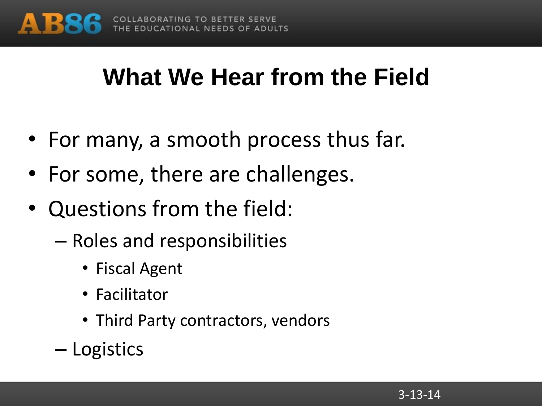

# **What We Hear from the Field**

- For many, a smooth process thus far.
- For some, there are challenges.
- Questions from the field:
	- Roles and responsibilities
		- Fiscal Agent
		- Facilitator
		- Third Party contractors, vendors
	- Logistics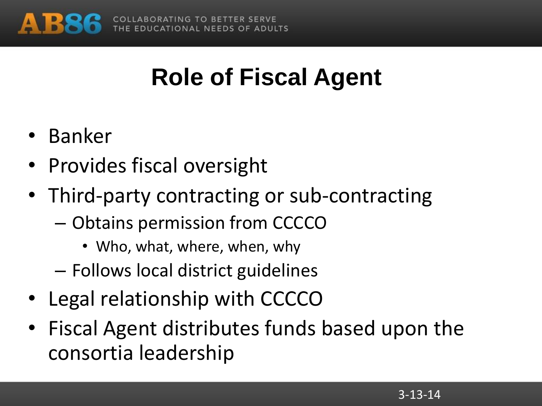

# **Role of Fiscal Agent**

- Banker
- Provides fiscal oversight
- Third-party contracting or sub-contracting
	- Obtains permission from CCCCO
		- Who, what, where, when, why
	- Follows local district guidelines
- Legal relationship with CCCCO
- Fiscal Agent distributes funds based upon the consortia leadership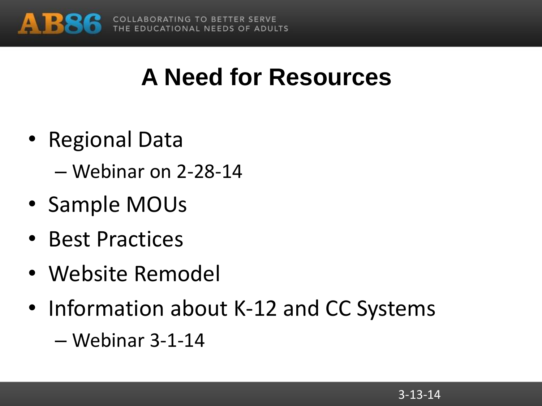

### **A Need for Resources**

- Regional Data
	- Webinar on 2-28-14
- Sample MOUs
- Best Practices
- Website Remodel
- Information about K-12 and CC Systems
	- Webinar 3-1-14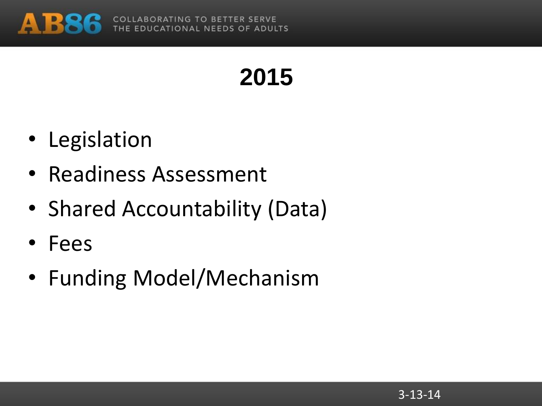

# **2015**

- Legislation
- Readiness Assessment
- Shared Accountability (Data)
- Fees
- Funding Model/Mechanism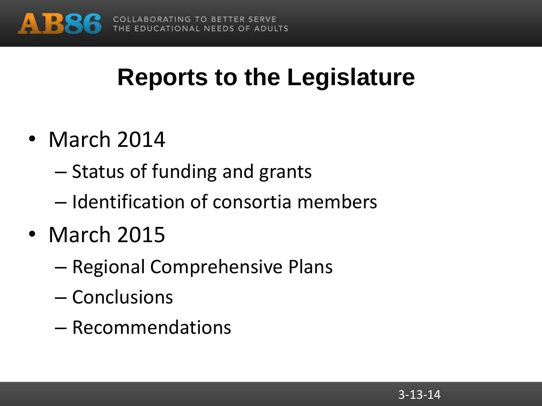

# **Reports to the Legislature**

- March 2014
	- Status of funding and grants
	- Identification of consortia members
- March 2015
	- Regional Comprehensive Plans
	- Conclusions
	- Recommendations